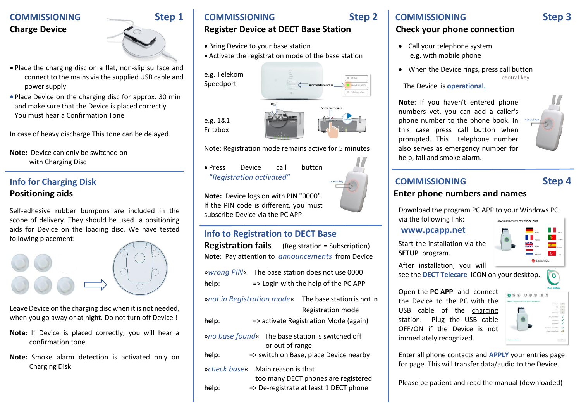### **COMMISSIONING** Step 1 **Charge Device**



- Place the charging disc on a flat, non-slip surface and connect to the mains via the supplied USB cable and power supply
- Place Device on the charging disc for approx. 30 min and make sure that the Device is placed correctly You must hear a Confirmation Tone

In case of heavy discharge This tone can be delayed.

**Note:** Device can only be switched on with Charging Disc

### **Info for Charging Disk Positioning aids**

Self-adhesive rubber bumpons are included in the scope of delivery. They should be used a positioning aids for Device on the loading disc. We have tested following placement:



Leave Device on the charging disc when it is not needed, when you go away or at night. Do not turn off Device !

- **Note:** If Device is placed correctly, you will hear a confirmation tone
- **Note:** Smoke alarm detection is activated only on Charging Disk.

### **COMMISSIONING Step 2**

### **Register Device at DECT Base Station**

- Bring Device to your base station
- Activate the registration mode of the base station

e.g. Telekom Speedport





Note: Registration mode remains active for 5 minutes

• Press Device call button *"Registration activated"*

**Note:** Device logs on with PIN "0000". If the PIN code is different, you must subscribe Device via the PC APP.

### **Info to Registration to DECT Base**

| <b>Registration fails</b> (Registration = Subscription)<br>Note: Pay attention to <i>announcements</i> from Device      |                                                                                                                      |
|-------------------------------------------------------------------------------------------------------------------------|----------------------------------------------------------------------------------------------------------------------|
| help:                                                                                                                   | wwrong PIN« The base station does not use 0000<br>=> Login with the help of the PC APP                               |
| help:                                                                                                                   | » not in Registration mode« The base station is not in<br>Registration mode<br>=> activate Registration Mode (again) |
| » no base found« The base station is switched off<br>or out of range<br>help:<br>=> switch on Base, place Device nearby |                                                                                                                      |
| help:                                                                                                                   | »check base« Main reason is that<br>too many DECT phones are registered<br>=> De-registrate at least 1 DECT phone    |

### **COMMISSIONING Step 3**

### **Check your phone connection**

- Call your telephone system e.g. with mobile phone
- When the Device rings, press call button central key

The Device is **operational.**

**Note**: If you haven't entered phone numbers yet, you can add a caller's phone number to the phone book. In this case press call button when prompted. This telephone number also serves as emergency number for help, fall and smoke alarm.

# **COMMISSIONING Step 4**

### **Enter phone numbers and names**

Download the program PC APP to your Windows PC

via the following link:

### **www.pcapp.net**

Start the installation via the **SETUP** program.

Download Center: www.PCAPP.net

After installation, you will see the **DECT Telecare** ICON on your desktop.

Open the **PC APP** and connect the Device to the PC with the USB cable of the charging station. Plug the USB cable OFF/ON if the Device is not immediately recognized.



Enter all phone contacts and **APPLY** your entries page for page. This will transfer data/audio to the Device.

Please be patient and read the manual (downloaded)